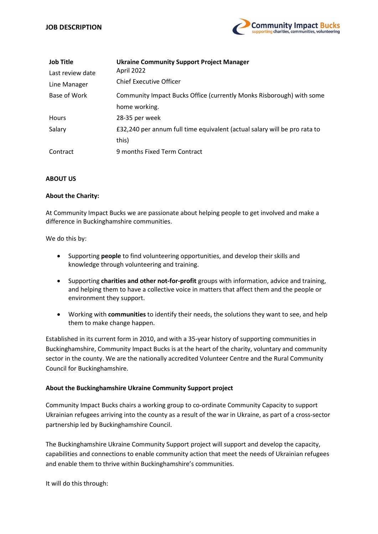

| <b>Job Title</b> | <b>Ukraine Community Support Project Manager</b>                          |
|------------------|---------------------------------------------------------------------------|
| Last review date | April 2022                                                                |
| Line Manager     | <b>Chief Executive Officer</b>                                            |
| Base of Work     | Community Impact Bucks Office (currently Monks Risborough) with some      |
|                  | home working.                                                             |
| <b>Hours</b>     | 28-35 per week                                                            |
| Salary           | £32,240 per annum full time equivalent (actual salary will be pro rata to |
|                  | this)                                                                     |
| Contract         | 9 months Fixed Term Contract                                              |

# ABOUT US

### About the Charity:

At Community Impact Bucks we are passionate about helping people to get involved and make a difference in Buckinghamshire communities.

We do this by:

- Supporting people to find volunteering opportunities, and develop their skills and knowledge through volunteering and training.
- Supporting charities and other not-for-profit groups with information, advice and training, and helping them to have a collective voice in matters that affect them and the people or environment they support.
- Working with communities to identify their needs, the solutions they want to see, and help them to make change happen.

Established in its current form in 2010, and with a 35-year history of supporting communities in Buckinghamshire, Community Impact Bucks is at the heart of the charity, voluntary and community sector in the county. We are the nationally accredited Volunteer Centre and the Rural Community Council for Buckinghamshire.

#### About the Buckinghamshire Ukraine Community Support project

Community Impact Bucks chairs a working group to co-ordinate Community Capacity to support Ukrainian refugees arriving into the county as a result of the war in Ukraine, as part of a cross-sector partnership led by Buckinghamshire Council.

The Buckinghamshire Ukraine Community Support project will support and develop the capacity, capabilities and connections to enable community action that meet the needs of Ukrainian refugees and enable them to thrive within Buckinghamshire's communities.

It will do this through: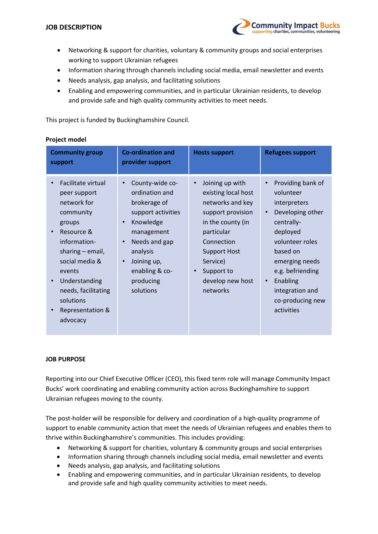

- Networking & support for charities, voluntary & community groups and social enterprises working to support Ukrainian refugees
- Information sharing through channels including social media, email newsletter and events
- Needs analysis, gap analysis, and facilitating solutions
- Enabling and empowering communities, and in particular Ukrainian residents, to develop and provide safe and high quality community activities to meet needs.

This project is funded by Buckinghamshire Council.

# Project model

| <b>Community group</b><br>support                                                                                                                                                                                                                        | <b>Co-ordination and</b><br>provider support                                                                                                                                                                         | <b>Hosts support</b>                                                                                                                                                                                                                        | <b>Refugees support</b>                                                                                                                                                                                                                                                   |
|----------------------------------------------------------------------------------------------------------------------------------------------------------------------------------------------------------------------------------------------------------|----------------------------------------------------------------------------------------------------------------------------------------------------------------------------------------------------------------------|---------------------------------------------------------------------------------------------------------------------------------------------------------------------------------------------------------------------------------------------|---------------------------------------------------------------------------------------------------------------------------------------------------------------------------------------------------------------------------------------------------------------------------|
| Facilitate virtual<br>peer support<br>network for<br>community<br>groups<br>Resource &<br>information-<br>sharing $-$ email,<br>social media &<br>events<br>Understanding<br>needs, facilitating<br>solutions<br><b>Representation &amp;</b><br>advocacy | County-wide co-<br>$\bullet$<br>ordination and<br>brokerage of<br>support activities<br>Knowledge<br>management<br>Needs and gap<br>analysis<br>Joining up,<br>$\bullet$<br>enabling & co-<br>producing<br>solutions | Joining up with<br>$\bullet$<br>existing local host<br>networks and key<br>support provision<br>in the county (in<br>particular<br>Connection<br><b>Support Host</b><br>Service)<br>Support to<br>$\bullet$<br>develop new host<br>networks | Providing bank of<br>$\bullet$<br>volunteer<br>interpreters<br>Developing other<br>$\bullet$<br>centrally-<br>deployed<br>volunteer roles<br>based on<br>emerging needs<br>e.g. befriending<br>Enabling<br>$\bullet$<br>integration and<br>co-producing new<br>activities |

# JOB PURPOSE

Reporting into our Chief Executive Officer (CEO), this fixed term role will manage Community Impact Bucks' work coordinating and enabling community action across Buckinghamshire to support Ukrainian refugees moving to the county.

The post-holder will be responsible for delivery and coordination of a high-quality programme of support to enable community action that meet the needs of Ukrainian refugees and enables them to thrive within Buckinghamshire's communities. This includes providing:

- Networking & support for charities, voluntary & community groups and social enterprises
- Information sharing through channels including social media, email newsletter and events
- Needs analysis, gap analysis, and facilitating solutions
- Enabling and empowering communities, and in particular Ukrainian residents, to develop and provide safe and high quality community activities to meet needs.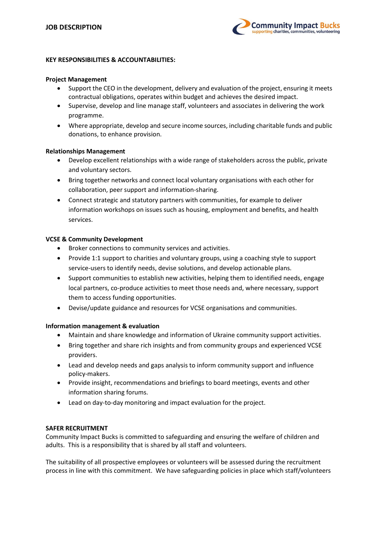

### KEY RESPONSIBILITIES & ACCOUNTABILITIES:

### Project Management

- Support the CEO in the development, delivery and evaluation of the project, ensuring it meets contractual obligations, operates within budget and achieves the desired impact.
- Supervise, develop and line manage staff, volunteers and associates in delivering the work programme.
- Where appropriate, develop and secure income sources, including charitable funds and public donations, to enhance provision.

### Relationships Management

- Develop excellent relationships with a wide range of stakeholders across the public, private and voluntary sectors.
- Bring together networks and connect local voluntary organisations with each other for collaboration, peer support and information-sharing.
- Connect strategic and statutory partners with communities, for example to deliver information workshops on issues such as housing, employment and benefits, and health services.

### VCSE & Community Development

- Broker connections to community services and activities.
- Provide 1:1 support to charities and voluntary groups, using a coaching style to support service-users to identify needs, devise solutions, and develop actionable plans.
- Support communities to establish new activities, helping them to identified needs, engage local partners, co-produce activities to meet those needs and, where necessary, support them to access funding opportunities.
- Devise/update guidance and resources for VCSE organisations and communities.

# Information management & evaluation

- Maintain and share knowledge and information of Ukraine community support activities.
- Bring together and share rich insights and from community groups and experienced VCSE providers.
- Lead and develop needs and gaps analysis to inform community support and influence policy-makers.
- Provide insight, recommendations and briefings to board meetings, events and other information sharing forums.
- Lead on day-to-day monitoring and impact evaluation for the project.

# SAFER RECRUITMENT

Community Impact Bucks is committed to safeguarding and ensuring the welfare of children and adults. This is a responsibility that is shared by all staff and volunteers.

The suitability of all prospective employees or volunteers will be assessed during the recruitment process in line with this commitment. We have safeguarding policies in place which staff/volunteers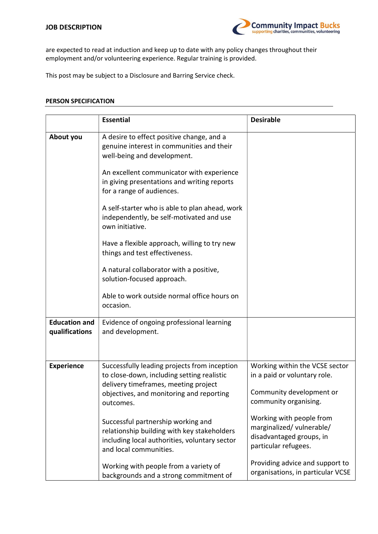

are expected to read at induction and keep up to date with any policy changes throughout their employment and/or volunteering experience. Regular training is provided.

This post may be subject to a Disclosure and Barring Service check.

# PERSON SPECIFICATION

|                                        | <b>Essential</b>                                                                                                                                                                            | <b>Desirable</b>                                                                                                    |
|----------------------------------------|---------------------------------------------------------------------------------------------------------------------------------------------------------------------------------------------|---------------------------------------------------------------------------------------------------------------------|
| About you                              | A desire to effect positive change, and a<br>genuine interest in communities and their<br>well-being and development.                                                                       |                                                                                                                     |
|                                        | An excellent communicator with experience<br>in giving presentations and writing reports<br>for a range of audiences.                                                                       |                                                                                                                     |
|                                        | A self-starter who is able to plan ahead, work<br>independently, be self-motivated and use<br>own initiative.                                                                               |                                                                                                                     |
|                                        | Have a flexible approach, willing to try new<br>things and test effectiveness.                                                                                                              |                                                                                                                     |
|                                        | A natural collaborator with a positive,<br>solution-focused approach.                                                                                                                       |                                                                                                                     |
|                                        | Able to work outside normal office hours on<br>occasion.                                                                                                                                    |                                                                                                                     |
| <b>Education and</b><br>qualifications | Evidence of ongoing professional learning<br>and development.                                                                                                                               |                                                                                                                     |
| <b>Experience</b>                      | Successfully leading projects from inception<br>to close-down, including setting realistic<br>delivery timeframes, meeting project<br>objectives, and monitoring and reporting<br>outcomes. | Working within the VCSE sector<br>in a paid or voluntary role.<br>Community development or<br>community organising. |
|                                        | Successful partnership working and<br>relationship building with key stakeholders<br>including local authorities, voluntary sector<br>and local communities.                                | Working with people from<br>marginalized/ vulnerable/<br>disadvantaged groups, in<br>particular refugees.           |
|                                        | Working with people from a variety of<br>backgrounds and a strong commitment of                                                                                                             | Providing advice and support to<br>organisations, in particular VCSE                                                |